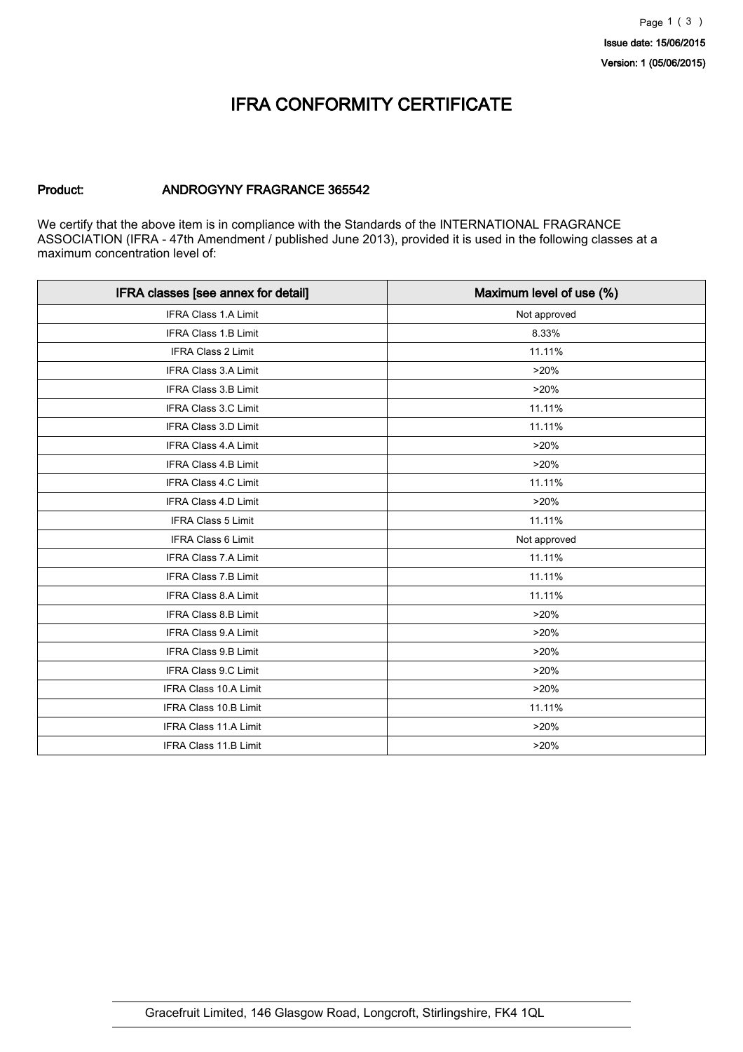### IFRA CONFORMITY CERTIFICATE

#### Product: ANDROGYNY FRAGRANCE 365542

We certify that the above item is in compliance with the Standards of the INTERNATIONAL FRAGRANCE ASSOCIATION (IFRA - 47th Amendment / published June 2013), provided it is used in the following classes at a maximum concentration level of:

| IFRA classes [see annex for detail] | Maximum level of use (%) |
|-------------------------------------|--------------------------|
| <b>IFRA Class 1.A Limit</b>         | Not approved             |
| <b>IFRA Class 1.B Limit</b>         | 8.33%                    |
| IFRA Class 2 Limit                  | 11.11%                   |
| <b>IFRA Class 3.A Limit</b>         | >20%                     |
| <b>IFRA Class 3.B Limit</b>         | >20%                     |
| IFRA Class 3.C Limit                | 11.11%                   |
| <b>IFRA Class 3.D Limit</b>         | 11.11%                   |
| <b>IFRA Class 4.A Limit</b>         | >20%                     |
| IFRA Class 4.B Limit                | >20%                     |
| <b>IFRA Class 4.C Limit</b>         | 11.11%                   |
| IFRA Class 4.D Limit                | >20%                     |
| IFRA Class 5 Limit                  | 11.11%                   |
| <b>IFRA Class 6 Limit</b>           | Not approved             |
| IFRA Class 7.A Limit                | 11.11%                   |
| IFRA Class 7.B Limit                | 11.11%                   |
| <b>IFRA Class 8.A Limit</b>         | 11.11%                   |
| IFRA Class 8.B Limit                | >20%                     |
| IFRA Class 9.A Limit                | >20%                     |
| <b>IFRA Class 9.B Limit</b>         | >20%                     |
| IFRA Class 9.C Limit                | >20%                     |
| <b>IFRA Class 10.A Limit</b>        | >20%                     |
| <b>IFRA Class 10.B Limit</b>        | 11.11%                   |
| <b>IFRA Class 11.A Limit</b>        | >20%                     |
| IFRA Class 11.B Limit               | >20%                     |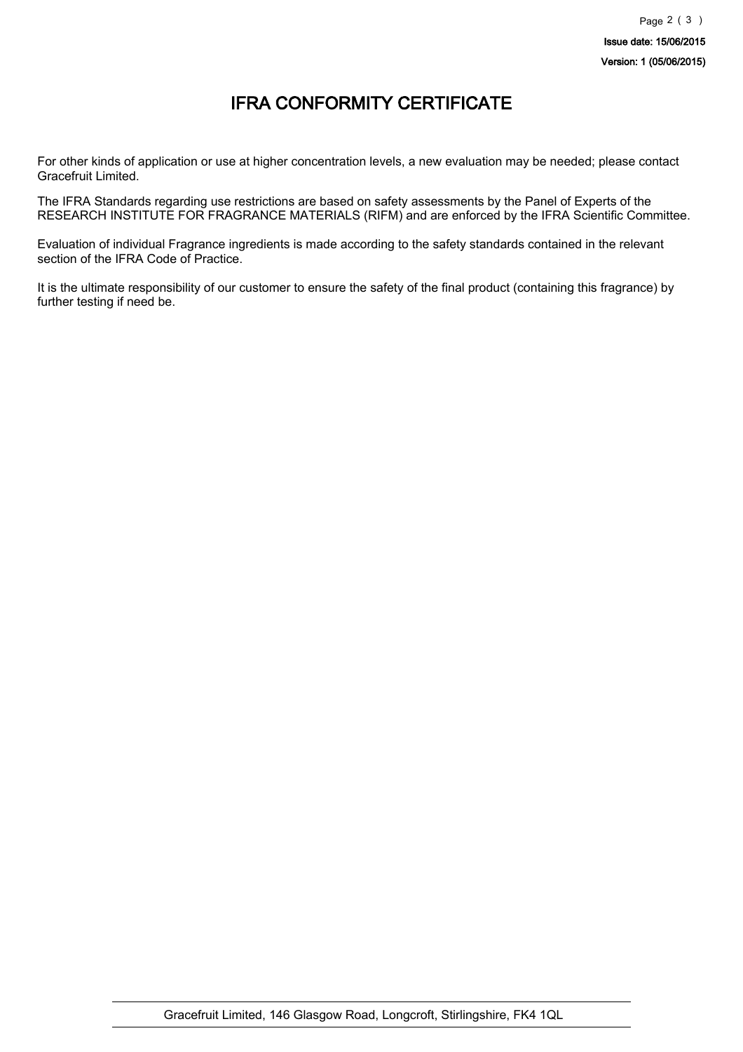## IFRA CONFORMITY CERTIFICATE

For other kinds of application or use at higher concentration levels, a new evaluation may be needed; please contact Gracefruit Limited.

The IFRA Standards regarding use restrictions are based on safety assessments by the Panel of Experts of the RESEARCH INSTITUTE FOR FRAGRANCE MATERIALS (RIFM) and are enforced by the IFRA Scientific Committee.

Evaluation of individual Fragrance ingredients is made according to the safety standards contained in the relevant section of the IFRA Code of Practice.

It is the ultimate responsibility of our customer to ensure the safety of the final product (containing this fragrance) by further testing if need be.